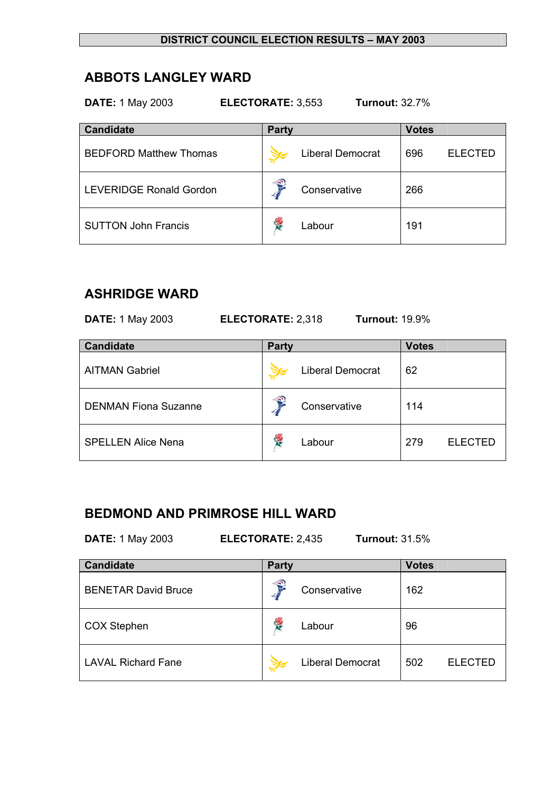# **ABBOTS LANGLEY WARD**

| <b>DATE: 1 May 2003</b><br>ELECTORATE: 3,553<br><b>Turnout: 32.7%</b> |                         |                       |  |  |  |
|-----------------------------------------------------------------------|-------------------------|-----------------------|--|--|--|
| <b>Candidate</b>                                                      | <b>Party</b>            | <b>Votes</b>          |  |  |  |
| <b>BEDFORD Matthew Thomas</b>                                         | <b>Liberal Democrat</b> | 696<br><b>ELECTED</b> |  |  |  |
| <b>LEVERIDGE Ronald Gordon</b>                                        | €<br>Conservative       | 266                   |  |  |  |
| <b>SUTTON John Francis</b>                                            | R<br>Labour             | 191                   |  |  |  |

# **ASHRIDGE WARD**

| <b>DATE: 1 May 2003</b>     | <b>Turnout: 19.9%</b><br>ELECTORATE: 2,318 |                       |
|-----------------------------|--------------------------------------------|-----------------------|
| <b>Candidate</b>            | <b>Party</b>                               | <b>Votes</b>          |
| <b>AITMAN Gabriel</b>       | <b>Liberal Democrat</b>                    | 62                    |
| <b>DENMAN Fiona Suzanne</b> | Conservative                               | 114                   |
| <b>SPELLEN Alice Nena</b>   | ł.<br>Labour                               | 279<br><b>ELECTED</b> |

# **BEDMOND AND PRIMROSE HILL WARD**

**DATE:** 1 May 2003 **ELECTORATE:** 2,435 **Turnout:** 31.5%

| <b>Candidate</b>           | <b>Party</b> |                         |     | <b>Votes</b>   |  |
|----------------------------|--------------|-------------------------|-----|----------------|--|
| <b>BENETAR David Bruce</b> | €            | Conservative            | 162 |                |  |
| <b>COX Stephen</b>         | 慢            | Labour                  | 96  |                |  |
| <b>LAVAL Richard Fane</b>  |              | <b>Liberal Democrat</b> | 502 | <b>ELECTED</b> |  |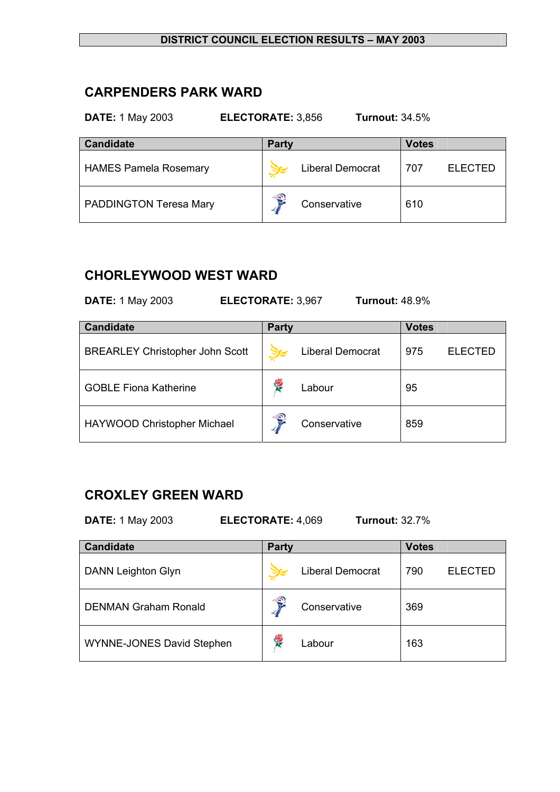## **CARPENDERS PARK WARD**

#### **DATE:** 1 May 2003 **ELECTORATE:** 3,856 **Turnout:** 34.5%

| <b>Candidate</b>              | <b>Party</b> |                         | <b>Votes</b> |                |
|-------------------------------|--------------|-------------------------|--------------|----------------|
| <b>HAMES Pamela Rosemary</b>  |              | <b>Liberal Democrat</b> | 707          | <b>ELECTED</b> |
| <b>PADDINGTON Teresa Mary</b> | €            | Conservative            | 610          |                |

# **CHORLEYWOOD WEST WARD**

| <b>Turnout: 48.9%</b><br><b>DATE: 1 May 2003</b><br>ELECTORATE: 3,967 |                                        |                         |                       |  |  |
|-----------------------------------------------------------------------|----------------------------------------|-------------------------|-----------------------|--|--|
|                                                                       | <b>Candidate</b>                       | Party                   | <b>Votes</b>          |  |  |
|                                                                       | <b>BREARLEY Christopher John Scott</b> | <b>Liberal Democrat</b> | 975<br><b>ELECTED</b> |  |  |
|                                                                       | <b>GOBLE Fiona Katherine</b>           | Labour                  | 95                    |  |  |
|                                                                       | HAYWOOD Christopher Michael            | Conservative            | 859                   |  |  |

# **CROXLEY GREEN WARD**

| <b>DATE:</b> 1 May 2003 | <b>ELECTORATE: 4,069</b> | <b>Turnout: 32.7%</b> |  |
|-------------------------|--------------------------|-----------------------|--|
|                         |                          |                       |  |

| <b>Candidate</b>            | <b>Party</b>        | <b>Votes</b>          |
|-----------------------------|---------------------|-----------------------|
| <b>DANN Leighton Glyn</b>   | Liberal Democrat    | 790<br><b>ELECTED</b> |
| <b>DENMAN Graham Ronald</b> | €<br>Conservative   | 369                   |
| WYNNE-JONES David Stephen   | <b>RE</b><br>Labour | 163                   |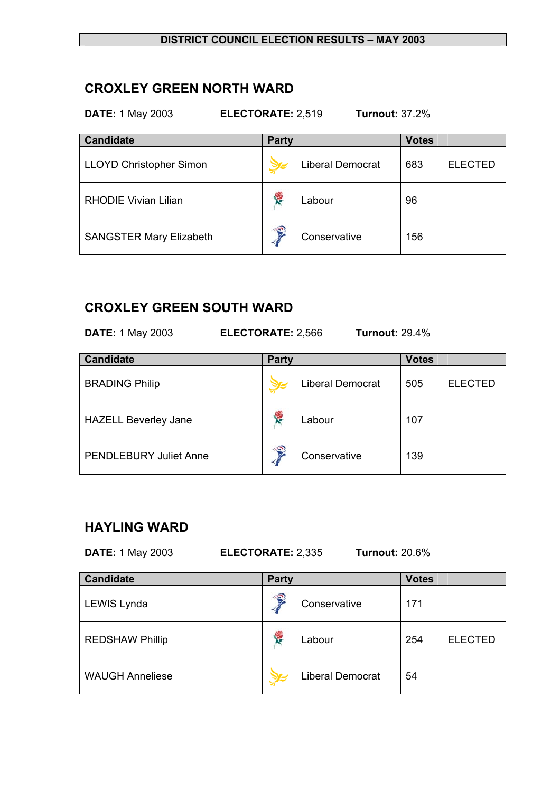### **CROXLEY GREEN NORTH WARD**

**DATE:** 1 May 2003 **ELECTORATE:** 2,519 **Turnout:** 37.2%

| <b>Candidate</b>               | <b>Party</b>            | <b>Votes</b>          |
|--------------------------------|-------------------------|-----------------------|
| <b>LLOYD Christopher Simon</b> | <b>Liberal Democrat</b> | <b>ELECTED</b><br>683 |
| <b>RHODIE Vivian Lilian</b>    | <b>R</b><br>Labour      | 96                    |
| <b>SANGSTER Mary Elizabeth</b> | €<br>Conservative       | 156                   |

## **CROXLEY GREEN SOUTH WARD**

**DATE:** 1 May 2003 **ELECTORATE:** 2,566 **Turnout:** 29.4%

| <b>Candidate</b>              | <b>Party</b> |                         |     |                |
|-------------------------------|--------------|-------------------------|-----|----------------|
| <b>BRADING Philip</b>         |              | <b>Liberal Democrat</b> | 505 | <b>ELECTED</b> |
| <b>HAZELL Beverley Jane</b>   | 悸            | Labour                  | 107 |                |
| <b>PENDLEBURY Juliet Anne</b> | €            | Conservative            | 139 |                |

## **HAYLING WARD**

**DATE:** 1 May 2003 **ELECTORATE:** 2,335 **Turnout:** 20.6%

| <b>Candidate</b>       | <b>Party</b> |                         | <b>Votes</b> |                |
|------------------------|--------------|-------------------------|--------------|----------------|
| LEWIS Lynda            | €            | Conservative            | 171          |                |
| <b>REDSHAW Phillip</b> | <b>RE</b>    | Labour                  | 254          | <b>ELECTED</b> |
| <b>WAUGH Anneliese</b> |              | <b>Liberal Democrat</b> | 54           |                |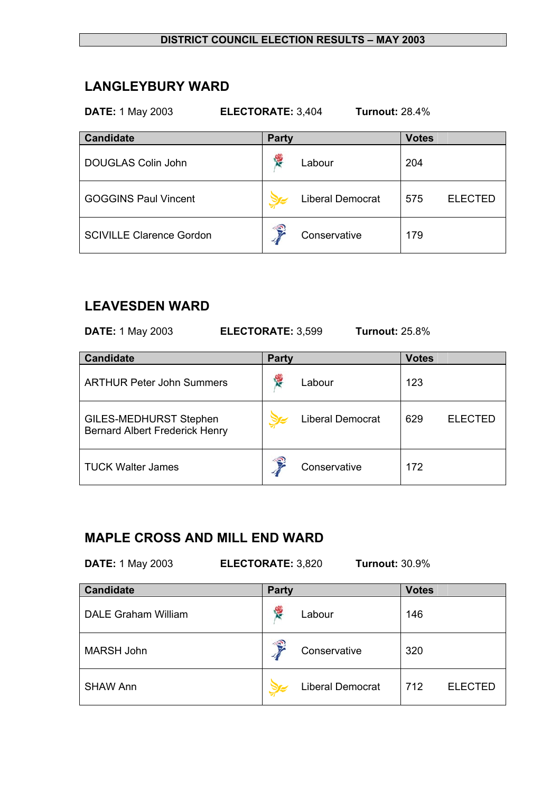## **LANGLEYBURY WARD**

**DATE:** 1 May 2003 **ELECTORATE:** 3,404 **Turnout:** 28.4%

| <b>Candidate</b>                | <b>Party</b>            | <b>Votes</b>          |
|---------------------------------|-------------------------|-----------------------|
| DOUGLAS Colin John              | Y.<br>Labour            | 204                   |
| <b>GOGGINS Paul Vincent</b>     | <b>Liberal Democrat</b> | 575<br><b>ELECTED</b> |
| <b>SCIVILLE Clarence Gordon</b> | €<br>Conservative       | 179                   |

### **LEAVESDEN WARD**

**DATE:** 1 May 2003 **ELECTORATE:** 3,599 **Turnout:** 25.8%

| <b>Candidate</b>                                                       | <b>Party</b> |                  | <b>Votes</b> |                |
|------------------------------------------------------------------------|--------------|------------------|--------------|----------------|
| <b>ARTHUR Peter John Summers</b>                                       | <b>RE</b>    | Labour           | 123          |                |
| <b>GILES-MEDHURST Stephen</b><br><b>Bernard Albert Frederick Henry</b> |              | Liberal Democrat | 629          | <b>ELECTED</b> |
| <b>TUCK Walter James</b>                                               | €            | Conservative     | 172          |                |

# **MAPLE CROSS AND MILL END WARD**

**DATE:** 1 May 2003 **ELECTORATE:** 3,820 **Turnout:** 30.9%

| <b>Candidate</b>           | <b>Party</b> |                         | <b>Votes</b> |                |
|----------------------------|--------------|-------------------------|--------------|----------------|
| <b>DALE Graham William</b> | <b>RE</b>    | Labour                  | 146          |                |
| <b>MARSH John</b>          | €            | Conservative            | 320          |                |
| <b>SHAW Ann</b>            |              | <b>Liberal Democrat</b> | 712          | <b>ELECTED</b> |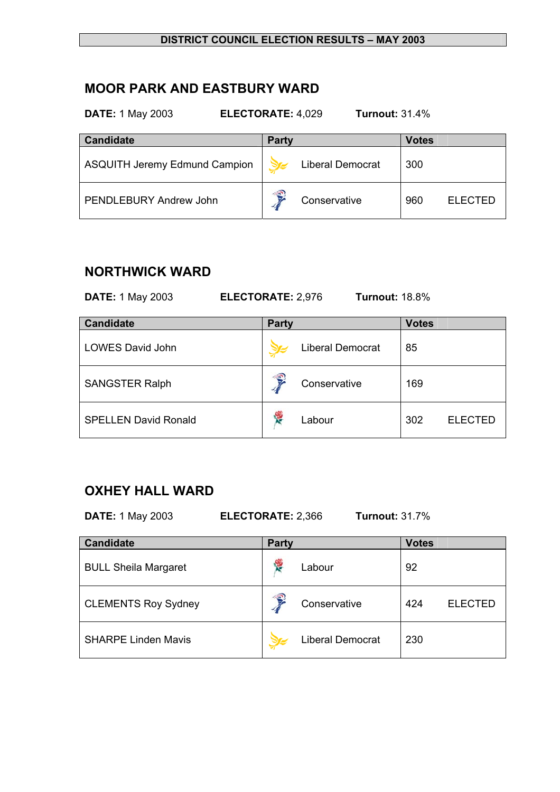### **MOOR PARK AND EASTBURY WARD**

| <b>Candidate</b>                     | Party |                         | <b>Votes</b> |                |
|--------------------------------------|-------|-------------------------|--------------|----------------|
| <b>ASQUITH Jeremy Edmund Campion</b> |       | <b>Liberal Democrat</b> | 300          |                |
| <b>PENDLEBURY Andrew John</b>        | €     | Conservative            | 960          | <b>ELECTED</b> |

**DATE:** 1 May 2003 **ELECTORATE:** 4,029 **Turnout:** 31.4%

## **NORTHWICK WARD**

**DATE:** 1 May 2003 **ELECTORATE:** 2,976 **Turnout:** 18.8%

| <b>Candidate</b>            | <b>Party</b>       | <b>Votes</b>          |
|-----------------------------|--------------------|-----------------------|
| <b>LOWES David John</b>     | Liberal Democrat   | 85                    |
| <b>SANGSTER Ralph</b>       | f,<br>Conservative | 169                   |
| <b>SPELLEN David Ronald</b> | <b>R</b><br>Labour | 302<br><b>ELECTED</b> |

# **OXHEY HALL WARD**

**DATE:** 1 May 2003 **ELECTORATE:** 2,366 **Turnout:** 31.7%

| <b>Candidate</b>            | <b>Party</b> |                         | <b>Votes</b> |                |
|-----------------------------|--------------|-------------------------|--------------|----------------|
| <b>BULL Sheila Margaret</b> | <b>RE</b>    | Labour                  | 92           |                |
| <b>CLEMENTS Roy Sydney</b>  | €            | Conservative            | 424          | <b>ELECTED</b> |
| <b>SHARPE Linden Mavis</b>  |              | <b>Liberal Democrat</b> | 230          |                |